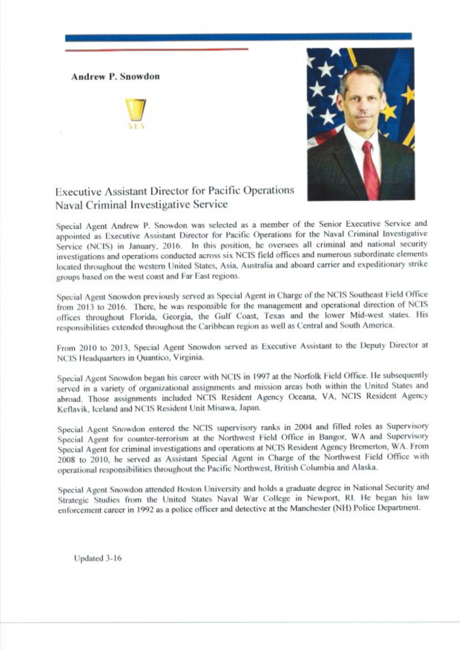**Andrew P. Snowdon** 





## Executive Assistant Director for Pacific Operations Naval Criminal Investigative Service

Special Agent Andrew P. Snowdon was selected as a member of the Senior Executive Service and appointed as Executive Assistant Director for Pacific Operations for the Naval Criminal Investigative Service (NCIS) in January, 2016. In this position, he oversees all criminal and national security investigations and operations conducted across six NCIS field offices and numerous subordinate elements located throughout the western United States, Asia, Australia and aboard carrier and expeditionary strike groups based on the west coast and Far East regions.

Special Agent Snowdon previously served as Special Agent in Charge of the NCIS Southeast Field Office from 2013 to 2016. There, he was responsible for the management and operational direction of NCIS offices throughout Florida, Georgia, the Gulf Coast, Texas and the lower Mid-west states. His responsibilities extended throughout the Caribbean region as well as Central and South America.

From 2010 to 2013, Special Agent Snowdon served as Executive Assistant to the Deputy Director at NCIS Headquarters in Quantico, Virginia.

Special Agent Snowdon began his career with NCIS in 1997 at the Norfolk Field Office. He subsequently served in a variety of organizational assignments and mission areas both within the United States and abroad. Those assignments included NCIS Resident Agency Oceana, VA, NCIS Resident Agency Keflavik, Iceland and NCIS Resident Unit Misawa, Japan.

Special Agent Snowdon entered the NCIS supervisory ranks in 2004 and filled roles as Supervisory Special Agent for counter-terrorism at the Northwest Field Office in Bangor, WA and Supervisory Special Agent for criminal investigations and operations at NCIS Resident Agency Bremerton, WA. From 2008 to 2010, he served as Assistant Special Agent in Charge of the Northwest Field Office with operational responsibilities throughout the Pacific Northwest, British Columbia and Alaska.

Special Agent Snowdon attended Boston University and holds a graduate degree in National Security and Strategic Studies from the United States Naval War College in Newport, RI. He began his law enforcement career in 1992 as a police officer and detective at the Manchester (NH) Police Department.

Updated 3-16